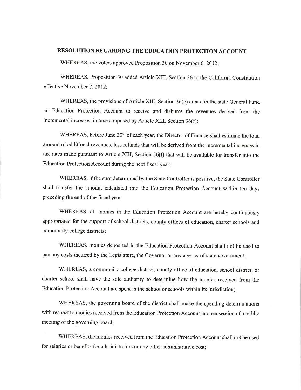## **RESOLUTION REGARDING THE EDUCATION PROTECTION ACCOUNT**

WHEREAS, the voters approved Proposition 30 on November 6, 2012:

WHEREAS, Proposition 30 added Article XIII, Section 36 to the California Constitution effective November 7, 2012;

WHEREAS, the provisions of Article XIII, Section 36(e) create in the state General Fund an Education Protection Account to receive and disburse the revenues derived from the incremental increases in taxes imposed by Article XIII, Section 36(f);

WHEREAS, before June 30<sup>th</sup> of each year, the Director of Finance shall estimate the total amount of additional revenues, less refunds that will be derived from the incremental increases in tax rates made pursuant to Article XIII, Section 36(f) that will be available for transfer into the Education Protection Account during the next fiscal year;

WHEREAS, if the sum determined by the State Controller is positive, the State Controller shall transfer the amount calculated into the Education Protection Account within ten days preceding the end of the fiscal year;

WHEREAS, all monies in the Education Protection Account are hereby continuously appropriated for the support of school districts, county offices of education, charter schools and community college districts;

WHEREAS, monies deposited in the Education Protection Account shall not be used to pay any costs incurred by the Legislature, the Governor or any agency of state government;

WHEREAS, a community college district, county office of education, school district, or charter school shall have the sole authority to determine how the monies received from the Education Protection Account are spent in the school or schools within its jurisdiction;

WHEREAS, the governing board of the district shall make the spending determinations with respect to monies received from the Education Protection Account in open session of a public meeting of the governing board;

WHEREAS, the monies received from the Education Protection Account shall not be used for salaries or benefits for administrators or any other administrative cost;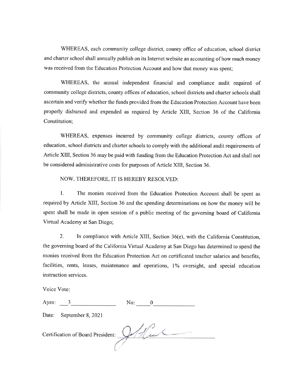WHEREAS, each community college district, county office of education, school district and charter school shall annually publish on its Internet website an accounting of how much money was received from the Education Protection Account and how that money was spent;

WHEREAS, the annual independent financial and compliance audit required of community college districts, county offices of education, school districts and charter schools shall ascertain and verify whether the funds provided from the Education Protection Account have been properly disbursed and expended as required by Article XIII, Section 36 of the California Constitution:

WHEREAS, expenses incurred by community college districts, county offices of education, school districts and charter schools to comply with the additional audit requirements of Article XIII, Section 36 may be paid with funding from the Education Protection Act and shall not be considered administrative costs for purposes of Article XIII, Section 36.

## NOW, THEREFORE, IT IS HEREBY RESOLVED:

 $1.$ The monies received from the Education Protection Account shall be spent as required by Article XIII, Section 36 and the spending determinations on how the money will be spent shall be made in open session of a public meeting of the governing board of California Virtual Academy at San Diego;

 $2.$ In compliance with Article XIII, Section 36(e), with the California Constitution, the governing board of the California Virtual Academy at San Diego has determined to spend the monies received from the Education Protection Act on certificated teacher salaries and benefits, facilities, rents, leases, maintenance and operations, 1% oversight, and special education instruction services.

Voice Vote:

| Ayes: |                                   | No: |  |
|-------|-----------------------------------|-----|--|
| Date: | September 8, 2021                 |     |  |
|       | Certification of Board President: |     |  |